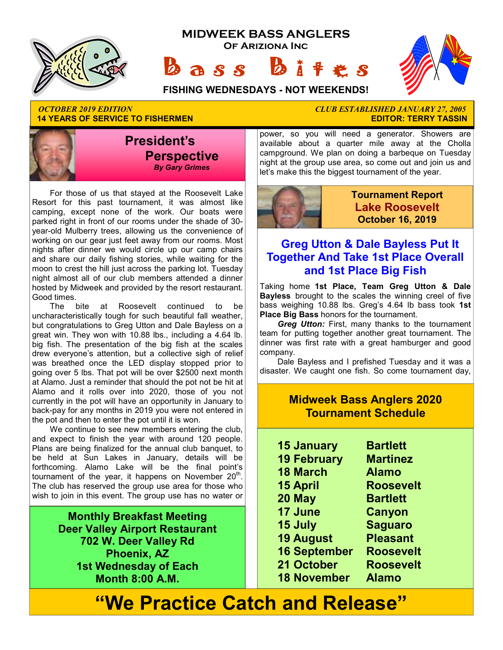





**FISHING WEDNESDAYS - NOT WEEKENDS!**

*OCTOBER 2019 EDITION CLUB ESTABLISHED JANUARY 27, 2005*  **14 YEARS OF SERVICE TO FISHERMEN** 



 For those of us that stayed at the Roosevelt Lake Resort for this past tournament, it was almost like camping, except none of the work. Our boats were parked right in front of our rooms under the shade of 30 year-old Mulberry trees, allowing us the convenience of working on our gear just feet away from our rooms. Most nights after dinner we would circle up our camp chairs and share our daily fishing stories, while waiting for the moon to crest the hill just across the parking lot. Tuesday night almost all of our club members attended a dinner hosted by Midweek and provided by the resort restaurant. Good times.

 The bite at Roosevelt continued to be uncharacteristically tough for such beautiful fall weather, but congratulations to Greg Utton and Dale Bayless on a great win. They won with 10.88 lbs., including a 4.64 lb. big fish. The presentation of the big fish at the scales drew everyone's attention, but a collective sigh of relief was breathed once the LED display stopped prior to going over 5 lbs. That pot will be over \$2500 next month at Alamo. Just a reminder that should the pot not be hit at Alamo and it rolls over into 2020, those of you not currently in the pot will have an opportunity in January to back-pay for any months in 2019 you were not entered in the pot and then to enter the pot until it is won.

 We continue to see new members entering the club, and expect to finish the year with around 120 people. Plans are being finalized for the annual club banquet, to be held at Sun Lakes in January, details will be forthcoming. Alamo Lake will be the final point's tournament of the year, it happens on November  $20<sup>th</sup>$ . The club has reserved the group use area for those who wish to join in this event. The group use has no water or

> **Monthly Breakfast Meeting Deer Valley Airport Restaurant 702 W. Deer Valley Rd Phoenix, AZ 1st Wednesday of Each Month 8:00 A.M.**

power, so you will need a generator. Showers are available about a quarter mile away at the Cholla campground. We plan on doing a barbeque on Tuesday night at the group use area, so come out and join us and let's make this the biggest tournament of the year.



**Tournament Report Lake Roosevelt October 16, 2019**

#### **Greg Utton & Dale Bayless Put It Together And Take 1st Place Overall and 1st Place Big Fish**

Taking home **1st Place, Team Greg Utton & Dale Bayless** brought to the scales the winning creel of five bass weighing 10.88 lbs. Greg's 4.64 lb bass took **1st Place Big Bass** honors for the tournament.

 *Greg Utton:* First, many thanks to the tournament team for putting together another great tournament. The dinner was first rate with a great hamburger and good company.

 Dale Bayless and I prefished Tuesday and it was a disaster. We caught one fish. So come tournament day,

#### **Midweek Bass Anglers 2020 Tournament Schedule**

- **15 January Bartlett 19 February Martinez**
- **18 March Alamo**
- **15 April Roosevelt**
- **20 May Bartlett**
- **17 June Canyon**
- 
- **15 July Saguaro**
- **19 August Pleasant**
- **16 September Roosevelt**
- **21 October Roosevelt**
- **18 November Alamo**

# **"We Practice Catch and Release"**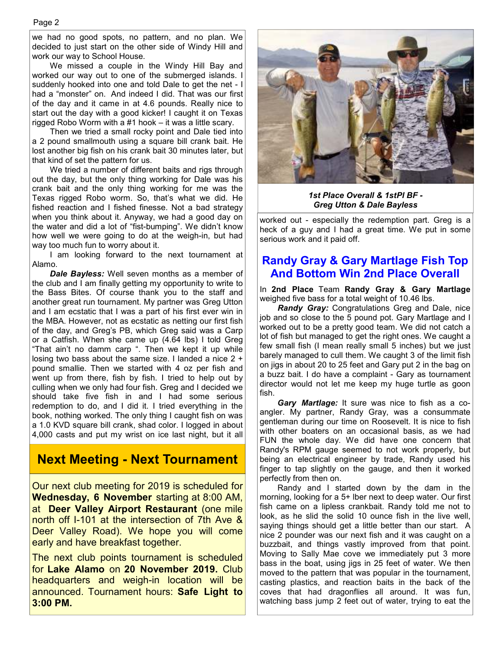we had no good spots, no pattern, and no plan. We decided to just start on the other side of Windy Hill and work our way to School House.

 We missed a couple in the Windy Hill Bay and worked our way out to one of the submerged islands. I suddenly hooked into one and told Dale to get the net - I had a "monster" on. And indeed I did. That was our first of the day and it came in at 4.6 pounds. Really nice to start out the day with a good kicker! I caught it on Texas rigged Robo Worm with a #1 hook – it was a little scary.

 Then we tried a small rocky point and Dale tied into a 2 pound smallmouth using a square bill crank bait. He lost another big fish on his crank bait 30 minutes later, but that kind of set the pattern for us.

 We tried a number of different baits and rigs through out the day, but the only thing working for Dale was his crank bait and the only thing working for me was the Texas rigged Robo worm. So, that's what we did. He fished reaction and I fished finesse. Not a bad strategy when you think about it. Anyway, we had a good day on the water and did a lot of "fist-bumping". We didn't know how well we were going to do at the weigh-in, but had way too much fun to worry about it.

 I am looking forward to the next tournament at Alamo.

*Dale Bayless:* Well seven months as a member of the club and I am finally getting my opportunity to write to the Bass Bites. Of course thank you to the staff and another great run tournament. My partner was Greg Utton and I am ecstatic that I was a part of his first ever win in the MBA. However, not as ecstatic as netting our first fish of the day, and Greg's PB, which Greg said was a Carp or a Catfish. When she came up (4.64 lbs) I told Greg "That ain't no damm carp ". Then we kept it up while losing two bass about the same size. I landed a nice 2 + pound smallie. Then we started with 4 oz per fish and went up from there, fish by fish. I tried to help out by culling when we only had four fish. Greg and I decided we should take five fish in and I had some serious redemption to do, and I did it. I tried everything in the book, nothing worked. The only thing I caught fish on was a 1.0 KVD square bill crank, shad color. I logged in about 4,000 casts and put my wrist on ice last night, but it all

### **Next Meeting - Next Tournament**

Our next club meeting for 2019 is scheduled for **Wednesday, 6 November** starting at 8:00 AM, at **Deer Valley Airport Restaurant** (one mile north off I-101 at the intersection of 7th Ave & Deer Valley Road). We hope you will come early and have breakfast together.

The next club points tournament is scheduled for **Lake Alamo** on **20 November 2019.** Club headquarters and weigh-in location will be announced. Tournament hours: **Safe Light to 3:00 PM.**



*1st Place Overall & 1stPl BF - Greg Utton & Dale Bayless* 

worked out - especially the redemption part. Greg is a heck of a guy and I had a great time. We put in some serious work and it paid off.

### **Randy Gray & Gary Martlage Fish Top And Bottom Win 2nd Place Overall**

In **2nd Place** Team **Randy Gray & Gary Martlage** weighed five bass for a total weight of 10.46 lbs.

 *Randy Gray:* Congratulations Greg and Dale, nice job and so close to the 5 pound pot. Gary Martlage and I worked out to be a pretty good team. We did not catch a lot of fish but managed to get the right ones. We caught a few small fish (I mean really small 5 inches) but we just barely managed to cull them. We caught 3 of the limit fish on jigs in about 20 to 25 feet and Gary put 2 in the bag on a buzz bait. I do have a complaint - Gary as tournament director would not let me keep my huge turtle as goon fish.

*Gary Martlage:* It sure was nice to fish as a coangler. My partner, Randy Gray, was a consummate gentleman during our time on Roosevelt. It is nice to fish with other boaters on an occasional basis, as we had FUN the whole day. We did have one concern that Randy's RPM gauge seemed to not work properly, but being an electrical engineer by trade, Randy used his finger to tap slightly on the gauge, and then it worked perfectly from then on.

 Randy and I started down by the dam in the morning, looking for a 5+ lber next to deep water. Our first fish came on a lipless crankbait. Randy told me not to look, as he slid the solid 10 ounce fish in the live well, saying things should get a little better than our start. A nice 2 pounder was our next fish and it was caught on a buzzbait, and things vastly improved from that point. Moving to Sally Mae cove we immediately put 3 more bass in the boat, using jigs in 25 feet of water. We then moved to the pattern that was popular in the tournament, casting plastics, and reaction baits in the back of the coves that had dragonflies all around. It was fun, watching bass jump 2 feet out of water, trying to eat the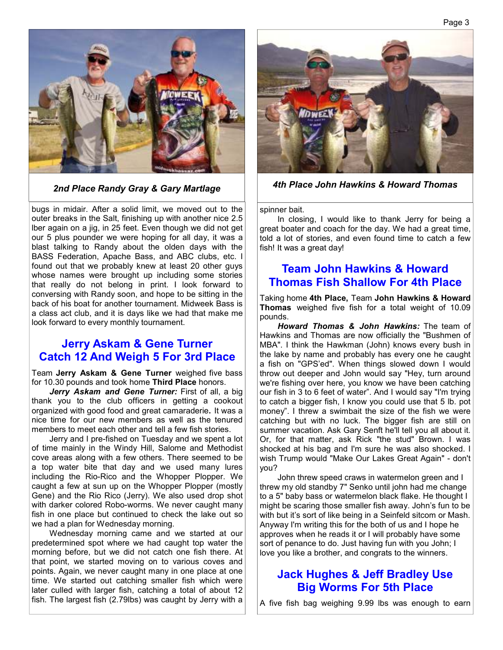

bugs in midair. After a solid limit, we moved out to the outer breaks in the Salt, finishing up with another nice 2.5 lber again on a jig, in 25 feet. Even though we did not get our 5 plus pounder we were hoping for all day, it was a blast talking to Randy about the olden days with the BASS Federation, Apache Bass, and ABC clubs, etc. I found out that we probably knew at least 20 other guys whose names were brought up including some stories that really do not belong in print. I look forward to conversing with Randy soon, and hope to be sitting in the back of his boat for another tournament. Midweek Bass is a class act club, and it is days like we had that make me look forward to every monthly tournament.

#### **Jerry Askam & Gene Turner Catch 12 And Weigh 5 For 3rd Place**

Team **Jerry Askam & Gene Turner** weighed five bass for 10.30 pounds and took home **Third Place** honors.

 *Jerry Askam and Gene Turner:* First of all, a big thank you to the club officers in getting a cookout organized with good food and great camaraderie**.** It was a nice time for our new members as well as the tenured members to meet each other and tell a few fish stories.

 Jerry and I pre-fished on Tuesday and we spent a lot of time mainly in the Windy Hill, Salome and Methodist cove areas along with a few others. There seemed to be a top water bite that day and we used many lures including the Rio-Rico and the Whopper Plopper. We caught a few at sun up on the Whopper Plopper (mostly Gene) and the Rio Rico (Jerry). We also used drop shot with darker colored Robo-worms. We never caught many fish in one place but continued to check the lake out so we had a plan for Wednesday morning.

 Wednesday morning came and we started at our predetermined spot where we had caught top water the morning before, but we did not catch one fish there. At that point, we started moving on to various coves and points. Again, we never caught many in one place at one time. We started out catching smaller fish which were later culled with larger fish, catching a total of about 12 fish. The largest fish (2.79lbs) was caught by Jerry with a



*2nd Place Randy Gray & Gary Martlage 4th Place John Hawkins & Howard Thomas* 

spinner bait.

 In closing, I would like to thank Jerry for being a great boater and coach for the day. We had a great time, told a lot of stories, and even found time to catch a few fish! It was a great day!

#### **Team John Hawkins & Howard Thomas Fish Shallow For 4th Place**

Taking home **4th Place,** Team **John Hawkins & Howard Thomas** weighed five fish for a total weight of 10.09 pounds.

 *Howard Thomas & John Hawkins:* The team of Hawkins and Thomas are now officially the "Bushmen of MBA". I think the Hawkman (John) knows every bush in the lake by name and probably has every one he caught a fish on "GPS'ed". When things slowed down I would throw out deeper and John would say "Hey, turn around we're fishing over here, you know we have been catching our fish in 3 to 6 feet of water". And I would say "I'm trying to catch a bigger fish, I know you could use that 5 lb. pot money". I threw a swimbait the size of the fish we were catching but with no luck. The bigger fish are still on summer vacation. Ask Gary Senft he'll tell you all about it. Or, for that matter, ask Rick "the stud" Brown. I was shocked at his bag and I'm sure he was also shocked. I wish Trump would "Make Our Lakes Great Again" - don't you?

 John threw speed craws in watermelon green and I threw my old standby 7" Senko until john had me change to a 5" baby bass or watermelon black flake. He thought I might be scaring those smaller fish away. John's fun to be with but it's sort of like being in a Seinfeld sitcom or Mash. Anyway I'm writing this for the both of us and I hope he approves when he reads it or I will probably have some sort of penance to do. Just having fun with you John; I love you like a brother, and congrats to the winners.

### **Jack Hughes & Jeff Bradley Use Big Worms For 5th Place**

A five fish bag weighing 9.99 lbs was enough to earn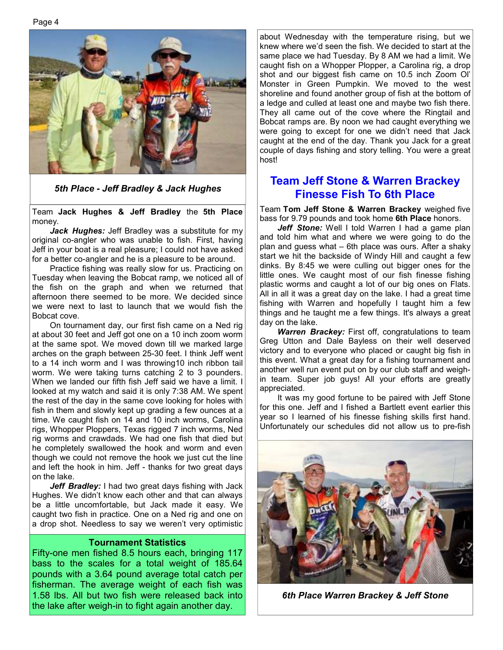Page 4



*5th Place - Jeff Bradley & Jack Hughes* 

Team **Jack Hughes & Jeff Bradley** the **5th Place**  money.

 *Jack Hughes:* Jeff Bradley was a substitute for my original co-angler who was unable to fish. First, having Jeff in your boat is a real pleasure; I could not have asked for a better co-angler and he is a pleasure to be around.

 Practice fishing was really slow for us. Practicing on Tuesday when leaving the Bobcat ramp, we noticed all of the fish on the graph and when we returned that afternoon there seemed to be more. We decided since we were next to last to launch that we would fish the Bobcat cove.

 On tournament day, our first fish came on a Ned rig at about 30 feet and Jeff got one on a 10 inch zoom worm at the same spot. We moved down till we marked large arches on the graph between 25-30 feet. I think Jeff went to a 14 inch worm and I was throwing10 inch ribbon tail worm. We were taking turns catching 2 to 3 pounders. When we landed our fifth fish Jeff said we have a limit. I looked at my watch and said it is only 7:38 AM. We spent the rest of the day in the same cove looking for holes with fish in them and slowly kept up grading a few ounces at a time. We caught fish on 14 and 10 inch worms, Carolina rigs, Whopper Ploppers, Texas rigged 7 inch worms, Ned rig worms and crawdads. We had one fish that died but he completely swallowed the hook and worm and even though we could not remove the hook we just cut the line and left the hook in him. Jeff - thanks for two great days on the lake.

Jeff Bradley: I had two great days fishing with Jack Hughes. We didn't know each other and that can always be a little uncomfortable, but Jack made it easy. We caught two fish in practice. One on a Ned rig and one on a drop shot. Needless to say we weren't very optimistic

#### **Tournament Statistics**

Fifty-one men fished 8.5 hours each, bringing 117 bass to the scales for a total weight of 185.64 pounds with a 3.64 pound average total catch per fisherman. The average weight of each fish was 1.58 lbs. All but two fish were released back into the lake after weigh-in to fight again another day.

about Wednesday with the temperature rising, but we knew where we'd seen the fish. We decided to start at the same place we had Tuesday. By 8 AM we had a limit. We caught fish on a Whopper Plopper, a Carolina rig, a drop shot and our biggest fish came on 10.5 inch Zoom Ol' Monster in Green Pumpkin. We moved to the west shoreline and found another group of fish at the bottom of a ledge and culled at least one and maybe two fish there. They all came out of the cove where the Ringtail and Bobcat ramps are. By noon we had caught everything we were going to except for one we didn't need that Jack caught at the end of the day. Thank you Jack for a great couple of days fishing and story telling. You were a great host!

#### **Team Jeff Stone & Warren Brackey Finesse Fish To 6th Place**

Team **Tom Jeff Stone & Warren Brackey** weighed five bass for 9.79 pounds and took home **6th Place** honors.

Jeff Stone: Well I told Warren I had a game plan and told him what and where we were going to do the plan and guess what – 6th place was ours. After a shaky start we hit the backside of Windy Hill and caught a few dinks. By 8:45 we were culling out bigger ones for the little ones. We caught most of our fish finesse fishing plastic worms and caught a lot of our big ones on Flats. All in all it was a great day on the lake. I had a great time fishing with Warren and hopefully I taught him a few things and he taught me a few things. It's always a great day on the lake.

*Warren Brackey:* First off, congratulations to team Greg Utton and Dale Bayless on their well deserved victory and to everyone who placed or caught big fish in this event. What a great day for a fishing tournament and another well run event put on by our club staff and weighin team. Super job guys! All your efforts are greatly appreciated.

 It was my good fortune to be paired with Jeff Stone for this one. Jeff and I fished a Bartlett event earlier this year so I learned of his finesse fishing skills first hand. Unfortunately our schedules did not allow us to pre-fish



*6th Place Warren Brackey & Jeff Stone*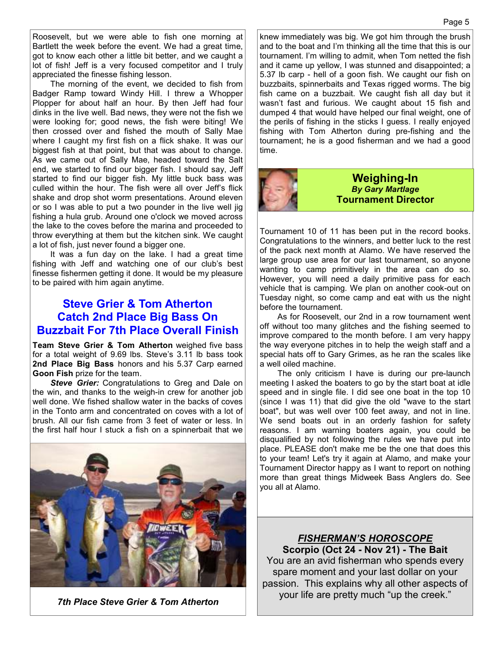Roosevelt, but we were able to fish one morning at Bartlett the week before the event. We had a great time, got to know each other a little bit better, and we caught a lot of fish! Jeff is a very focused competitor and I truly appreciated the finesse fishing lesson.

 The morning of the event, we decided to fish from Badger Ramp toward Windy Hill. I threw a Whopper Plopper for about half an hour. By then Jeff had four dinks in the live well. Bad news, they were not the fish we were looking for; good news, the fish were biting! We then crossed over and fished the mouth of Sally Mae where I caught my first fish on a flick shake. It was our biggest fish at that point, but that was about to change. As we came out of Sally Mae, headed toward the Salt end, we started to find our bigger fish. I should say, Jeff started to find our bigger fish. My little buck bass was culled within the hour. The fish were all over Jeff's flick shake and drop shot worm presentations. Around eleven or so I was able to put a two pounder in the live well jig fishing a hula grub. Around one o'clock we moved across the lake to the coves before the marina and proceeded to throw everything at them but the kitchen sink. We caught a lot of fish, just never found a bigger one.

 It was a fun day on the lake. I had a great time fishing with Jeff and watching one of our club's best finesse fishermen getting it done. It would be my pleasure to be paired with him again anytime.

#### **Steve Grier & Tom Atherton Catch 2nd Place Big Bass On Buzzbait For 7th Place Overall Finish**

**Team Steve Grier & Tom Atherton** weighed five bass for a total weight of 9.69 lbs. Steve's 3.11 lb bass took **2nd Place Big Bass** honors and his 5.37 Carp earned **Goon Fish** prize for the team.

**Steve Grier:** Congratulations to Greg and Dale on the win, and thanks to the weigh-in crew for another job well done. We fished shallow water in the backs of coves in the Tonto arm and concentrated on coves with a lot of brush. All our fish came from 3 feet of water or less. In the first half hour I stuck a fish on a spinnerbait that we



*7th Place Steve Grier & Tom Atherton*

knew immediately was big. We got him through the brush and to the boat and I'm thinking all the time that this is our tournament. I'm willing to admit, when Tom netted the fish and it came up yellow, I was stunned and disappointed; a 5.37 lb carp - hell of a goon fish. We caught our fish on buzzbaits, spinnerbaits and Texas rigged worms. The big fish came on a buzzbait. We caught fish all day but it wasn't fast and furious. We caught about 15 fish and dumped 4 that would have helped our final weight, one of the perils of fishing in the sticks I guess. I really enjoyed fishing with Tom Atherton during pre-fishing and the tournament; he is a good fisherman and we had a good time.



#### **Weighing-In**  *By Gary Martlage*  **Tournament Director**

Tournament 10 of 11 has been put in the record books. Congratulations to the winners, and better luck to the rest of the pack next month at Alamo. We have reserved the large group use area for our last tournament, so anyone wanting to camp primitively in the area can do so. However, you will need a daily primitive pass for each vehicle that is camping. We plan on another cook-out on Tuesday night, so come camp and eat with us the night before the tournament.

 As for Roosevelt, our 2nd in a row tournament went off without too many glitches and the fishing seemed to improve compared to the month before. I am very happy the way everyone pitches in to help the weigh staff and a special hats off to Gary Grimes, as he ran the scales like a well oiled machine.

 The only criticism I have is during our pre-launch meeting I asked the boaters to go by the start boat at idle speed and in single file. I did see one boat in the top 10 (since I was 11) that did give the old "wave to the start boat", but was well over 100 feet away, and not in line. We send boats out in an orderly fashion for safety reasons. I am warning boaters again, you could be disqualified by not following the rules we have put into place. PLEASE don't make me be the one that does this to your team! Let's try it again at Alamo, and make your Tournament Director happy as I want to report on nothing more than great things Midweek Bass Anglers do. See you all at Alamo.

*FISHERMAN'S HOROSCOPE* **Scorpio (Oct 24 - Nov 21) - The Bait**  You are an avid fisherman who spends every spare moment and your last dollar on your passion. This explains why all other aspects of your life are pretty much "up the creek."